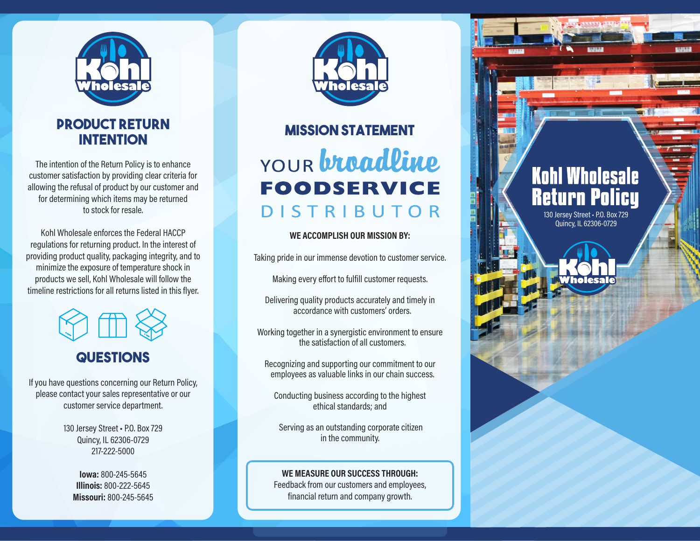

### **Product Return intention**

The intention of the Return Policy is to enhance customer satisfaction by providing clear criteria for allowing the refusal of product by our customer and for determining which items may be returned to stock for resale.

Kohl Wholesale enforces the Federal HACCP regulations for returning product. In the interest of providing product quality, packaging integrity, and to minimize the exposure of temperature shock in products we sell, Kohl Wholesale will follow the timeline restrictions for all returns listed in this flyer.



### **Questions**

If you have questions concerning our Return Policy, please contact your sales representative or our customer service department.

> 130 Jersey Street · P.O. Box 729 Quincy, IL 62306-0729 217-222-5000

**Iowa:** 800-245-5645 **Illinois:** 800-222-5645 **Missouri:** 800-245-5645



# **Mission Statement** YOUR **broadline FOODSERVICE DISTRIBUTOR**

#### **WE ACCOMPLISH OUR MISSION BY:**

130 Jersey Street · P.O. Box 729 Quincy, IL 62306-0729

**Return Policy** 

**Kohl Wholesale** 

Taking pride in our immense devotion to customer service.

Making every effort to fulfill customer requests.

Delivering quality products accurately and timely in accordance with customers' orders.

Working together in a synergistic environment to ensure the satisfaction of all customers.

Recognizing and supporting our commitment to our employees as valuable links in our chain success.

Conducting business according to the highest ethical standards; and

 Serving as an outstanding corporate citizen in the community.

**WE MEASURE OUR SUCCESS THROUGH:** Feedback from our customers and employees, financial return and company growth.